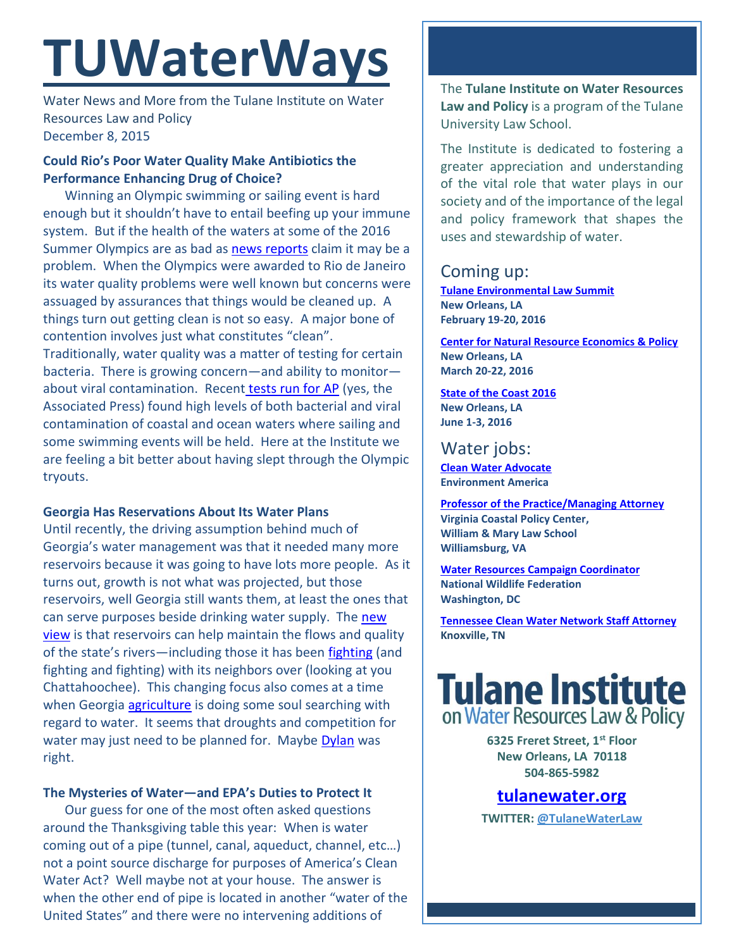# **TUWaterWays**

Water News and More from the Tulane Institute on Water Resources Law and Policy December 8, 2015

#### **Could Rio's Poor Water Quality Make Antibiotics the Performance Enhancing Drug of Choice?**

Winning an Olympic swimming or sailing event is hard enough but it shouldn't have to entail beefing up your immune system. But if the health of the waters at some of the 2016 Summer Olympics are as bad as [news reports](http://www.businessinsider.com/report-rio-water-sample-shows-levels-of-viruses-akin-to-raw-sewage-2015-12) claim it may be a problem. When the Olympics were awarded to Rio de Janeiro its water quality problems were well known but concerns were assuaged by assurances that things would be cleaned up. A things turn out getting clean is not so easy. A major bone of contention involves just what constitutes "clean". Traditionally, water quality was a matter of testing for certain bacteria. There is growing concern—and ability to monitor about viral contamination. Recent [tests run for AP](http://bigstory.ap.org/article/d92f6af5121f49d982601a657d745e95/ap-investigation-rios-olympic-water-rife-sewage-virus) (yes, the Associated Press) found high levels of both bacterial and viral contamination of coastal and ocean waters where sailing and some swimming events will be held. Here at the Institute we are feeling a bit better about having slept through the Olympic tryouts.

#### **Georgia Has Reservations About Its Water Plans**

Until recently, the driving assumption behind much of Georgia's water management was that it needed many more reservoirs because it was going to have lots more people. As it turns out, growth is not what was projected, but those reservoirs, well Georgia still wants them, at least the ones that can serve purposes beside drinking water supply. The new [view](http://www.myajc.com/news/news/state-regional-govt-politics/georgia-shifts-its-reservoir-policy-to-focus-on-re/npTMT/) is that reservoirs can help maintain the flows and quality of the state's rivers-including those it has been [fighting](http://specials.myajc.com/georgia-water-war/) (and fighting and fighting) with its neighbors over (looking at you Chattahoochee). This changing focus also comes at a time when Georgia **agriculture** is doing some soul searching with regard to water. It seems that droughts and competition for water may just need to be planned for. Maybe [Dylan](https://www.youtube.com/watch?v=e7qQ6_RV4VQ) was right.

#### **The Mysteries of Water—and EPA's Duties to Protect It**

Our guess for one of the most often asked questions around the Thanksgiving table this year: When is water coming out of a pipe (tunnel, canal, aqueduct, channel, etc…) not a point source discharge for purposes of America's Clean Water Act? Well maybe not at your house. The answer is when the other end of pipe is located in another "water of the United States" and there were no intervening additions of

The **Tulane Institute on Water Resources Law and Policy** is a program of the Tulane University Law School.

The Institute is dedicated to fostering a greater appreciation and understanding of the vital role that water plays in our society and of the importance of the legal and policy framework that shapes the uses and stewardship of water.

# Coming up:

**[Tulane Environmental Law Summit](http://tulaneenvironmentallawsummit.com/) New Orleans, LA February 19-20, 2016**

**[Center for Natural Resource Economics & Policy](http://www.cnrep.lsu.edu/2016/) New Orleans, LA March 20-22, 2016**

#### **[State of the Coast](http://stateofthecoast.org/) 2016 New Orleans, LA June 1-3, 2016**

## Water jobs:

**[Clean Water Advocate](http://jobs.environmentamerica.org/clean-water-advocate.html) Environment America**

**[Professor of the Practice/Managing Attorney](https://jobs.wm.edu/postings/22816) Virginia Coastal Policy Center, William & Mary Law School Williamsburg, VA**

**[Water Resources Campaign Coordinator](https://nwf.applicantpro.com/jobs/314523.html) National Wildlife Federation Washington, DC**

**[Tennessee Clean Water Network Staff Attorney](http://www.tcwn.org/job-opening-staff-attorney/) Knoxville, TN**

# **Tulane Institute** on Water Resources Law & Policy

**6325 Freret Street, 1st Floor New Orleans, LA 70118 504-865-5982** 

### **[tulanewater.org](file:///C:/Users/waterlaw/Downloads/tulanewater.org)**

**TWITTER: [@TulaneWaterLaw](http://www.twitter.com/TulaneWaterLaw)**